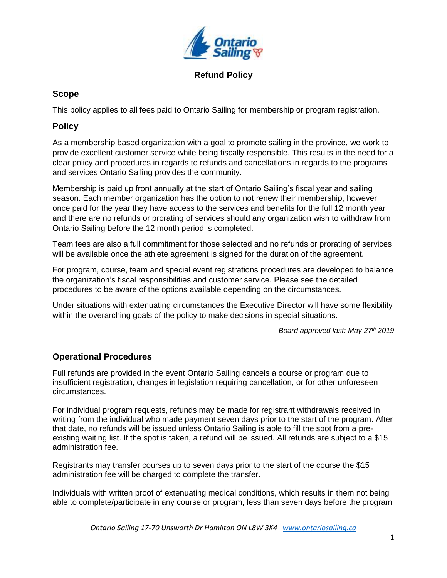

#### **Refund Policy**

### **Scope**

This policy applies to all fees paid to Ontario Sailing for membership or program registration.

## **Policy**

As a membership based organization with a goal to promote sailing in the province, we work to provide excellent customer service while being fiscally responsible. This results in the need for a clear policy and procedures in regards to refunds and cancellations in regards to the programs and services Ontario Sailing provides the community.

Membership is paid up front annually at the start of Ontario Sailing's fiscal year and sailing season. Each member organization has the option to not renew their membership, however once paid for the year they have access to the services and benefits for the full 12 month year and there are no refunds or prorating of services should any organization wish to withdraw from Ontario Sailing before the 12 month period is completed.

Team fees are also a full commitment for those selected and no refunds or prorating of services will be available once the athlete agreement is signed for the duration of the agreement.

For program, course, team and special event registrations procedures are developed to balance the organization's fiscal responsibilities and customer service. Please see the detailed procedures to be aware of the options available depending on the circumstances.

Under situations with extenuating circumstances the Executive Director will have some flexibility within the overarching goals of the policy to make decisions in special situations.

*Board approved last: May 27th 2019*

# **Operational Procedures**

Full refunds are provided in the event Ontario Sailing cancels a course or program due to insufficient registration, changes in legislation requiring cancellation, or for other unforeseen circumstances.

For individual program requests, refunds may be made for registrant withdrawals received in writing from the individual who made payment seven days prior to the start of the program. After that date, no refunds will be issued unless Ontario Sailing is able to fill the spot from a preexisting waiting list. If the spot is taken, a refund will be issued. All refunds are subject to a \$15 administration fee.

Registrants may transfer courses up to seven days prior to the start of the course the \$15 administration fee will be charged to complete the transfer.

Individuals with written proof of extenuating medical conditions, which results in them not being able to complete/participate in any course or program, less than seven days before the program

*Ontario Sailing 17-70 Unsworth Dr Hamilton ON L8W 3K4 [www.ontariosailing.ca](http://www.ontariosailing.ca/)*